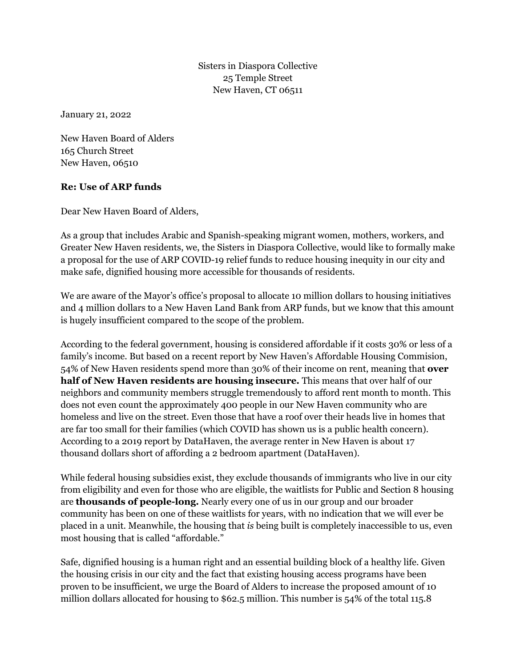Sisters in Diaspora Collective 25 Temple Street New Haven, CT 06511

January 21, 2022

New Haven Board of Alders 165 Church Street New Haven, 06510

## **Re: Use of ARP funds**

Dear New Haven Board of Alders,

As a group that includes Arabic and Spanish-speaking migrant women, mothers, workers, and Greater New Haven residents, we, the Sisters in Diaspora Collective, would like to formally make a proposal for the use of ARP COVID-19 relief funds to reduce housing inequity in our city and make safe, dignified housing more accessible for thousands of residents.

We are aware of the Mayor's office's proposal to allocate 10 million dollars to housing initiatives and 4 million dollars to a New Haven Land Bank from ARP funds, but we know that this amount is hugely insufficient compared to the scope of the problem.

According to the federal government, housing is considered affordable if it costs 30% or less of a family's income. But based on a recent report by New Haven's Affordable Housing Commision, 54% of New Haven residents spend more than 30% of their income on rent, meaning that **over half of New Haven residents are housing insecure.** This means that over half of our neighbors and community members struggle tremendously to afford rent month to month. This does not even count the approximately 400 people in our New Haven community who are homeless and live on the street. Even those that have a roof over their heads live in homes that are far too small for their families (which COVID has shown us is a public health concern). According to a 2019 report by DataHaven, the average renter in New Haven is about 17 thousand dollars short of affording a 2 bedroom apartment (DataHaven).

While federal housing subsidies exist, they exclude thousands of immigrants who live in our city from eligibility and even for those who are eligible, the waitlists for Public and Section 8 housing are **thousands of people-long.** Nearly every one of us in our group and our broader community has been on one of these waitlists for years, with no indication that we will ever be placed in a unit. Meanwhile, the housing that *is* being built is completely inaccessible to us, even most housing that is called "affordable."

Safe, dignified housing is a human right and an essential building block of a healthy life. Given the housing crisis in our city and the fact that existing housing access programs have been proven to be insufficient, we urge the Board of Alders to increase the proposed amount of 10 million dollars allocated for housing to \$62.5 million. This number is 54% of the total 115.8